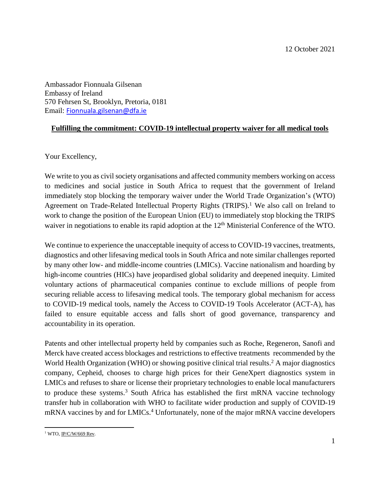Ambassador Fionnuala Gilsenan Embassy of Ireland 570 Fehrsen St, Brooklyn, Pretoria, 0181 Email: [Fionnuala.gilsenan@dfa.ie](mailto:Fionnuala.gilsenan@dfa.ie)

## **Fulfilling the commitment: COVID-19 intellectual property waiver for all medical tools**

Your Excellency,

We write to you as civil society organisations and affected community members working on access to medicines and social justice in South Africa to request that the government of Ireland immediately stop blocking the temporary waiver under the World Trade Organization's (WTO) Agreement on Trade-Related Intellectual Property Rights (TRIPS). <sup>1</sup> We also call on Ireland to work to change the position of the European Union (EU) to immediately stop blocking the TRIPS waiver in negotiations to enable its rapid adoption at the 12<sup>th</sup> Ministerial Conference of the WTO.

We continue to experience the unacceptable inequity of access to COVID-19 vaccines, treatments, diagnostics and other lifesaving medical tools in South Africa and note similar challenges reported by many other low- and middle-income countries (LMICs). Vaccine nationalism and hoarding by high-income countries (HICs) have jeopardised global solidarity and deepened inequity. Limited voluntary actions of pharmaceutical companies continue to exclude millions of people from securing reliable access to lifesaving medical tools. The temporary global mechanism for access to COVID-19 medical tools, namely the Access to COVID-19 Tools Accelerator (ACT-A), has failed to ensure equitable access and falls short of good governance, transparency and accountability in its operation.

Patents and other intellectual property held by companies such as Roche, Regeneron, Sanofi and Merck have created access blockages and restrictions to effective treatments recommended by the World Health Organization (WHO) or showing positive clinical trial results. <sup>2</sup> A major diagnostics company, Cepheid, chooses to charge high prices for their GeneXpert diagnostics system in LMICs and refuses to share or license their proprietary technologies to enable local manufacturers to produce these systems. <sup>3</sup> South Africa has established the first mRNA vaccine technology transfer hub in collaboration with WHO to facilitate wider production and supply of COVID-19 mRNA vaccines by and for LMICs. <sup>4</sup> Unfortunately, none of the major mRNA vaccine developers

 $\overline{\phantom{a}}$ <sup>1</sup> WTO, <u>IP/C/W/669 Rev</u>.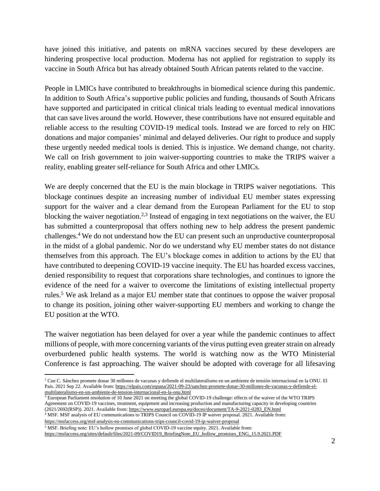have joined this initiative, and patents on mRNA vaccines secured by these developers are hindering prospective local production. Moderna has not applied for registration to supply its vaccine in South Africa but has already obtained South African patents related to the vaccine.

People in LMICs have contributed to breakthroughs in biomedical science during this pandemic. In addition to South Africa's supportive public policies and funding, thousands of South Africans have supported and participated in critical clinical trials leading to eventual medical innovations that can save lives around the world. However, these contributions have not ensured equitable and reliable access to the resulting COVID-19 medical tools. Instead we are forced to rely on HIC donations and major companies' minimal and delayed deliveries. Our right to produce and supply these urgently needed medical tools is denied. This is injustice. We demand change, not charity. We call on Irish government to join waiver-supporting countries to make the TRIPS waiver a reality, enabling greater self-reliance for South Africa and other LMICs.

We are deeply concerned that the EU is the main blockage in TRIPS waiver negotiations. This blockage continues despite an increasing number of individual EU member states expressing support for the waiver and a clear demand from the European Parliament for the EU to stop blocking the waiver negotiation.<sup>2,3</sup> Instead of engaging in text negotiations on the waiver, the EU has submitted a counterproposal that offers nothing new to help address the present pandemic challenges.<sup>4</sup> We do not understand how the EU can present such an unproductive counterproposal in the midst of a global pandemic. Nor do we understand why EU member states do not distance themselves from this approach. The EU's blockage comes in addition to actions by the EU that have contributed to deepening COVID-19 vaccine inequity. The EU has hoarded excess vaccines, denied responsibility to request that corporations share technologies, and continues to ignore the evidence of the need for a waiver to overcome the limitations of existing intellectual property rules. <sup>5</sup> We ask Ireland as a major EU member state that continues to oppose the waiver proposal to change its position, joining other waiver-supporting EU members and working to change the EU position at the WTO.

The waiver negotiation has been delayed for over a year while the pandemic continues to affect millions of people, with more concerning variants of the virus putting even greater strain on already overburdened public health systems. The world is watching now as the WTO Ministerial Conference is fast approaching. The waiver should be adopted with coverage for all lifesaving

 $3$  European Parliament resolution of 10 June 2021 on meeting the global COVID-19 challenge: effects of the waiver of the WTO TRIPS Agreement on COVID-19 vaccines, treatment, equipment and increasing production and manufacturing capacity in developing countries (2021/2692(RSP)). 2021. Available from: [https://www.europarl.europa.eu/doceo/document/TA-9-2021-0283\\_EN.html](https://www.europarl.europa.eu/doceo/document/TA-9-2021-0283_EN.html)

<sup>4</sup> MSF. MSF analysis of EU communications to TRIPS Council on COVID-19 IP waiver proposal. 2021. Available from: <https://msfaccess.org/msf-analysis-eu-communications-trips-council-covid-19-ip-waiver-proposal>

<sup>5</sup> MSF. Briefing note: EU's hollow promises of global COVID-19 vaccine equity. 2021. Available from:

 $\overline{\phantom{a}}$ 

[https://msfaccess.org/sites/default/files/2021-09/COVID19\\_BriefingNote\\_EU\\_hollow\\_promises\\_ENG\\_15.9.2021.PDF](https://msfaccess.org/sites/default/files/2021-09/COVID19_BriefingNote_EU_hollow_promises_ENG_15.9.2021.PDF)

<sup>2</sup> Cue C. Sánchez promete donar 30 millones de vacunas y defiende el multilateralismo en un ambiente de tensión internacional en la ONU. El Pais. 2021 Sep 22. Available from[: https://elpais.com/espana/2021-09-23/sanchez-promete-donar-30-millones-de-vacunas-y-defiende-el](https://elpais.com/espana/2021-09-23/sanchez-promete-donar-30-millones-de-vacunas-y-defiende-el-multilateralismo-en-un-ambiente-de-tension-internacional-en-la-onu.html)[multilateralismo-en-un-ambiente-de-tension-internacional-en-la-onu.html](https://elpais.com/espana/2021-09-23/sanchez-promete-donar-30-millones-de-vacunas-y-defiende-el-multilateralismo-en-un-ambiente-de-tension-internacional-en-la-onu.html)